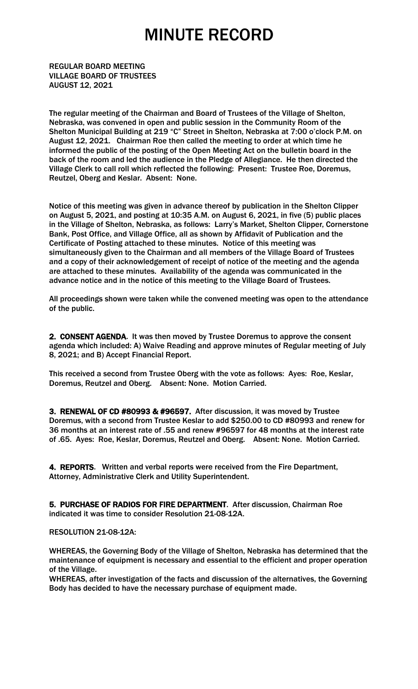REGULAR BOARD MEETING VILLAGE BOARD OF TRUSTEES AUGUST 12, 2021

The regular meeting of the Chairman and Board of Trustees of the Village of Shelton, Nebraska, was convened in open and public session in the Community Room of the Shelton Municipal Building at 219 "C" Street in Shelton, Nebraska at 7:00 o'clock P.M. on August 12, 2021. Chairman Roe then called the meeting to order at which time he informed the public of the posting of the Open Meeting Act on the bulletin board in the back of the room and led the audience in the Pledge of Allegiance. He then directed the Village Clerk to call roll which reflected the following: Present: Trustee Roe, Doremus, Reutzel, Oberg and Keslar. Absent: None.

Notice of this meeting was given in advance thereof by publication in the Shelton Clipper on August 5, 2021, and posting at 10:35 A.M. on August 6, 2021, in five (5) public places in the Village of Shelton, Nebraska, as follows: Larry's Market, Shelton Clipper, Cornerstone Bank, Post Office, and Village Office, all as shown by Affidavit of Publication and the Certificate of Posting attached to these minutes. Notice of this meeting was simultaneously given to the Chairman and all members of the Village Board of Trustees and a copy of their acknowledgement of receipt of notice of the meeting and the agenda are attached to these minutes. Availability of the agenda was communicated in the advance notice and in the notice of this meeting to the Village Board of Trustees.

All proceedings shown were taken while the convened meeting was open to the attendance of the public.

2. CONSENT AGENDA. It was then moved by Trustee Doremus to approve the consent agenda which included: A) Waive Reading and approve minutes of Regular meeting of July 8, 2021; and B) Accept Financial Report.

This received a second from Trustee Oberg with the vote as follows: Ayes: Roe, Keslar, Doremus, Reutzel and Oberg. Absent: None. Motion Carried.

3. RENEWAL OF CD #80993 & #96597. After discussion, it was moved by Trustee Doremus, with a second from Trustee Keslar to add \$250.00 to CD #80993 and renew for 36 months at an interest rate of .55 and renew #96597 for 48 months at the interest rate of .65. Ayes: Roe, Keslar, Doremus, Reutzel and Oberg. Absent: None. Motion Carried.

4. REPORTS. Written and verbal reports were received from the Fire Department, Attorney, Administrative Clerk and Utility Superintendent.

5. PURCHASE OF RADIOS FOR FIRE DEPARTMENT. After discussion, Chairman Roe indicated it was time to consider Resolution 21-08-12A.

#### RESOLUTION 21-08-12A:

WHEREAS, the Governing Body of the Village of Shelton, Nebraska has determined that the maintenance of equipment is necessary and essential to the efficient and proper operation of the Village.

WHEREAS, after investigation of the facts and discussion of the alternatives, the Governing Body has decided to have the necessary purchase of equipment made.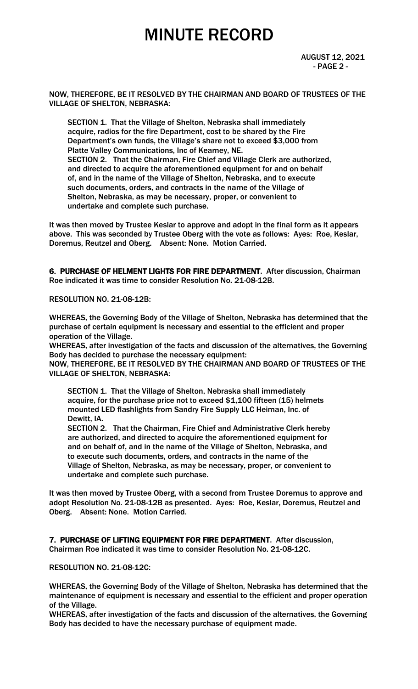AUGUST 12, 2021  $-$  PAGE 2 -  $-$ 

NOW, THEREFORE, BE IT RESOLVED BY THE CHAIRMAN AND BOARD OF TRUSTEES OF THE VILLAGE OF SHELTON, NEBRASKA:

 SECTION 1. That the Village of Shelton, Nebraska shall immediately acquire, radios for the fire Department, cost to be shared by the Fire Department's own funds, the Village's share not to exceed \$3,000 from Platte Valley Communications, Inc of Kearney, NE. SECTION 2. That the Chairman, Fire Chief and Village Clerk are authorized, and directed to acquire the aforementioned equipment for and on behalf of, and in the name of the Village of Shelton, Nebraska, and to execute such documents, orders, and contracts in the name of the Village of Shelton, Nebraska, as may be necessary, proper, or convenient to undertake and complete such purchase.

It was then moved by Trustee Keslar to approve and adopt in the final form as it appears above. This was seconded by Trustee Oberg with the vote as follows: Ayes: Roe, Keslar, Doremus, Reutzel and Oberg. Absent: None. Motion Carried.

6. PURCHASE OF HELMENT LIGHTS FOR FIRE DEPARTMENT. After discussion, Chairman Roe indicated it was time to consider Resolution No. 21-08-12B.

RESOLUTION NO. 21-08-12B:

WHEREAS, the Governing Body of the Village of Shelton, Nebraska has determined that the purchase of certain equipment is necessary and essential to the efficient and proper operation of the Village.

WHEREAS, after investigation of the facts and discussion of the alternatives, the Governing Body has decided to purchase the necessary equipment:

NOW, THEREFORE, BE IT RESOLVED BY THE CHAIRMAN AND BOARD OF TRUSTEES OF THE VILLAGE OF SHELTON, NEBRASKA:

SECTION 1. That the Village of Shelton, Nebraska shall immediately acquire, for the purchase price not to exceed \$1,100 fifteen (15) helmets mounted LED flashlights from Sandry Fire Supply LLC Heiman, Inc. of Dewitt, IA.

 SECTION 2. That the Chairman, Fire Chief and Administrative Clerk hereby are authorized, and directed to acquire the aforementioned equipment for and on behalf of, and in the name of the Village of Shelton, Nebraska, and to execute such documents, orders, and contracts in the name of the Village of Shelton, Nebraska, as may be necessary, proper, or convenient to undertake and complete such purchase.

It was then moved by Trustee Oberg, with a second from Trustee Doremus to approve and adopt Resolution No. 21-08-12B as presented. Ayes: Roe, Keslar, Doremus, Reutzel and Oberg. Absent: None. Motion Carried.

7. PURCHASE OF LIFTING EQUIPMENT FOR FIRE DEPARTMENT. After discussion, Chairman Roe indicated it was time to consider Resolution No. 21-08-12C.

RESOLUTION NO. 21-08-12C:

WHEREAS, the Governing Body of the Village of Shelton, Nebraska has determined that the maintenance of equipment is necessary and essential to the efficient and proper operation of the Village.

WHEREAS, after investigation of the facts and discussion of the alternatives, the Governing Body has decided to have the necessary purchase of equipment made.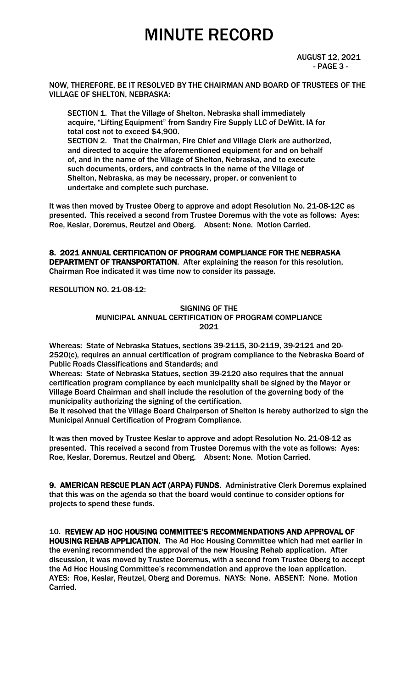AUGUST 12, 2021  $-$  PAGE 3  $-$ 

NOW, THEREFORE, BE IT RESOLVED BY THE CHAIRMAN AND BOARD OF TRUSTEES OF THE VILLAGE OF SHELTON, NEBRASKA:

 SECTION 1. That the Village of Shelton, Nebraska shall immediately acquire, "Lifting Equipment" from Sandry Fire Supply LLC of DeWitt, IA for total cost not to exceed \$4,900. SECTION 2. That the Chairman, Fire Chief and Village Clerk are authorized, and directed to acquire the aforementioned equipment for and on behalf of, and in the name of the Village of Shelton, Nebraska, and to execute such documents, orders, and contracts in the name of the Village of Shelton, Nebraska, as may be necessary, proper, or convenient to undertake and complete such purchase.

It was then moved by Trustee Oberg to approve and adopt Resolution No. 21-08-12C as presented. This received a second from Trustee Doremus with the vote as follows: Ayes: Roe, Keslar, Doremus, Reutzel and Oberg. Absent: None. Motion Carried.

8. 2021 ANNUAL CERTIFICATION OF PROGRAM COMPLIANCE FOR THE NEBRASKA DEPARTMENT OF TRANSPORTATION. After explaining the reason for this resolution, Chairman Roe indicated it was time now to consider its passage.

RESOLUTION NO. 21-08-12:

SIGNING OF THE MUNICIPAL ANNUAL CERTIFICATION OF PROGRAM COMPLIANCE 2021

Whereas: State of Nebraska Statues, sections 39-2115, 30-2119, 39-2121 and 20- 2520(c), requires an annual certification of program compliance to the Nebraska Board of Public Roads Classifications and Standards; and

Whereas: State of Nebraska Statues, section 39-2120 also requires that the annual certification program compliance by each municipality shall be signed by the Mayor or Village Board Chairman and shall include the resolution of the governing body of the municipality authorizing the signing of the certification.

Be it resolved that the Village Board Chairperson of Shelton is hereby authorized to sign the Municipal Annual Certification of Program Compliance.

It was then moved by Trustee Keslar to approve and adopt Resolution No. 21-08-12 as presented. This received a second from Trustee Doremus with the vote as follows: Ayes: Roe, Keslar, Doremus, Reutzel and Oberg. Absent: None. Motion Carried.

9. AMERICAN RESCUE PLAN ACT (ARPA) FUNDS. Administrative Clerk Doremus explained that this was on the agenda so that the board would continue to consider options for projects to spend these funds.

10. REVIEW AD HOC HOUSING COMMITTEE'S RECOMMENDATIONS AND APPROVAL OF HOUSING REHAB APPLICATION. The Ad Hoc Housing Committee which had met earlier in the evening recommended the approval of the new Housing Rehab application. After discussion, it was moved by Trustee Doremus, with a second from Trustee Oberg to accept the Ad Hoc Housing Committee's recommendation and approve the loan application. AYES: Roe, Keslar, Reutzel, Oberg and Doremus. NAYS: None. ABSENT: None. Motion Carried.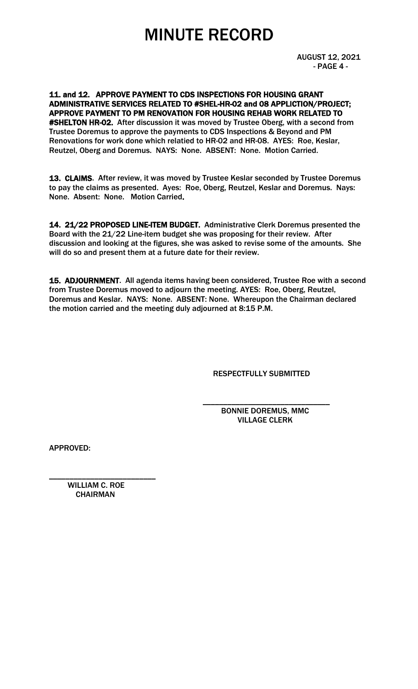AUGUST 12, 2021 - PAGE 4 -

11. and 12. APPROVE PAYMENT TO CDS INSPECTIONS FOR HOUSING GRANT ADMINISTRATIVE SERVICES RELATED TO #SHEL-HR-02 and 08 APPLICTION/PROJECT; APPROVE PAYMENT TO PM RENOVATION FOR HOUSING REHAB WORK RELATED TO #SHELTON HR-02. After discussion it was moved by Trustee Oberg, with a second from Trustee Doremus to approve the payments to CDS Inspections & Beyond and PM Renovations for work done which relatied to HR-02 and HR-08. AYES: Roe, Keslar, Reutzel, Oberg and Doremus. NAYS: None. ABSENT: None. Motion Carried.

13. CLAIMS. After review, it was moved by Trustee Keslar seconded by Trustee Doremus to pay the claims as presented. Ayes: Roe, Oberg, Reutzel, Keslar and Doremus. Nays: None. Absent: None. Motion Carried.

14. 21/22 PROPOSED LINE-ITEM BUDGET. Administrative Clerk Doremus presented the Board with the 21/22 Line-item budget she was proposing for their review. After discussion and looking at the figures, she was asked to revise some of the amounts. She will do so and present them at a future date for their review.

15. ADJOURNMENT. All agenda items having been considered, Trustee Roe with a second from Trustee Doremus moved to adjourn the meeting. AYES: Roe, Oberg, Reutzel, Doremus and Keslar. NAYS: None. ABSENT: None. Whereupon the Chairman declared the motion carried and the meeting duly adjourned at 8:15 P.M.

RESPECTFULLY SUBMITTED

 $\overline{\phantom{a}}$  , and the contract of the contract of the contract of the contract of the contract of the contract of the contract of the contract of the contract of the contract of the contract of the contract of the contrac BONNIE DOREMUS, MMC VILLAGE CLERK

APPROVED:

 WILLIAM C. ROE **CHAIRMAN** 

\_\_\_\_\_\_\_\_\_\_\_\_\_\_\_\_\_\_\_\_\_\_\_\_\_\_